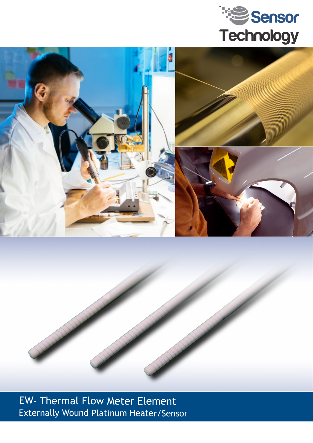





EW- Thermal Flow Meter Element Externally Wound Platinum Heater/Sensor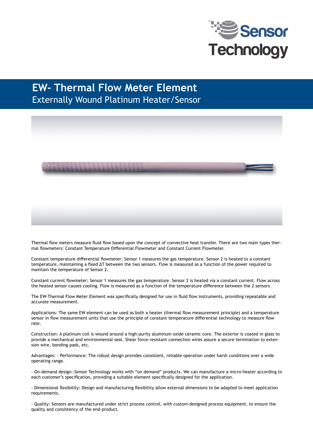

## **EW- Thermal Flow Meter Element** Externally Wound Platinum Heater/Sensor



Thermal flow meters measure fluid flow based upon the concept of convective heat transfer. There are two main types thermal flowmeters: Constant Temperature Differential Flowmeter and Constant Current Flowmeter.

Constant temperature differential flowmeter: Sensor 1 measures the gas temperature. Sensor 2 is heated to a constant temperature, maintaining a fixed ΔT between the two sensors. Flow is measured as a function of the power required to maintain the temperature of Sensor 2.

Constant current flowmeter: Sensor 1 measures the gas temperature. Sensor 2 is heated via a constant current. Flow across the heated sensor causes cooling. Flow is measured as a function of the temperature difference between the 2 sensors

The EW-Thermal Flow Meter Element was specifically designed for use in fluid flow instruments, providing repeatable and accurate measurement.

Applications: The same EW element can be used as both a heater (thermal flow measurement principle) and a temperature sensor in flow measurement units that use the principle of constant temperature differential technology to measure flow rate.

Construction: A platinum coil is wound around a high-purity aluminum oxide ceramic core. The exterior is coated in glass to provide a mechanical and environmental seal. Shear force-resistant connection wires assure a secure termination to extension wire, bonding pads, etc.

Advantages: - Performance: The robust design provides consistent, reliable operation under harsh conditions over a wide operating range.

- On-demand design: Sensor Technology works with "on demand" products. We can manufacture a micro-heater according to each customer's specification, providing a suitable element specifically designed for the application.

- Dimensional flexibility: Design and manufacturing flexibility allow external dimensions to be adapted to meet application requirements.

- Quality: Sensors are manufactured under strict process control, with custom-designed process equipment, to ensure the quality and consistency of the end-product.